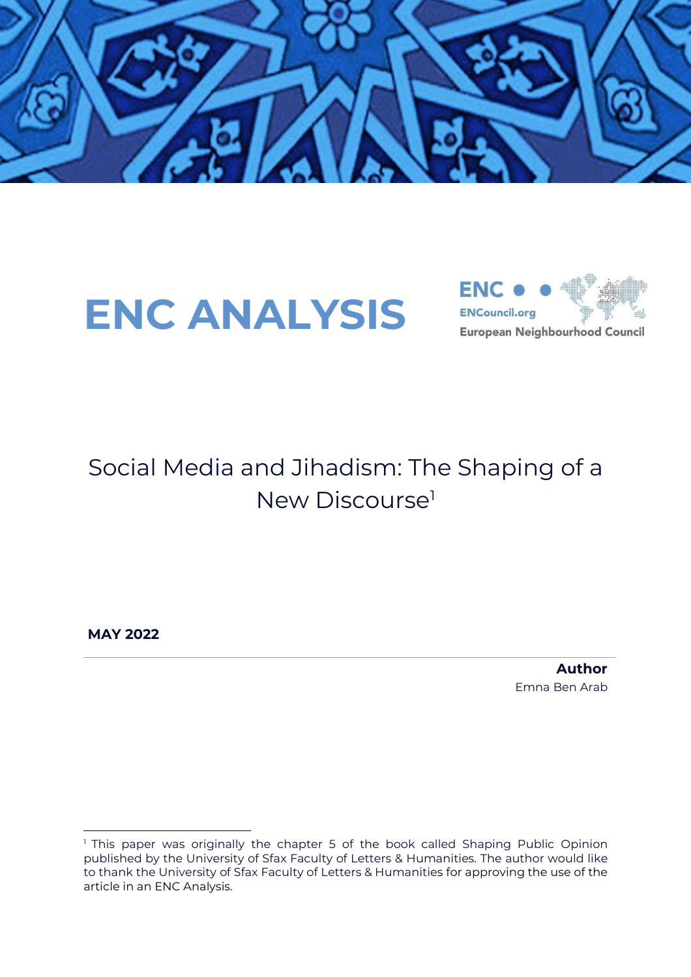

# **ENC ANALYSIS**



### Social Media and Jihadism: The Shaping of a New Discourse<sup>1</sup>

**MAY 2022**

**Author** Emna Ben Arab

<sup>&</sup>lt;sup>1</sup> This paper was originally the chapter 5 of the book called Shaping Public Opinion published by the University of Sfax Faculty of Letters & Humanities. The author would like to thank the University of Sfax Faculty of Letters & Humanities for approving the use of the article in an ENC Analysis.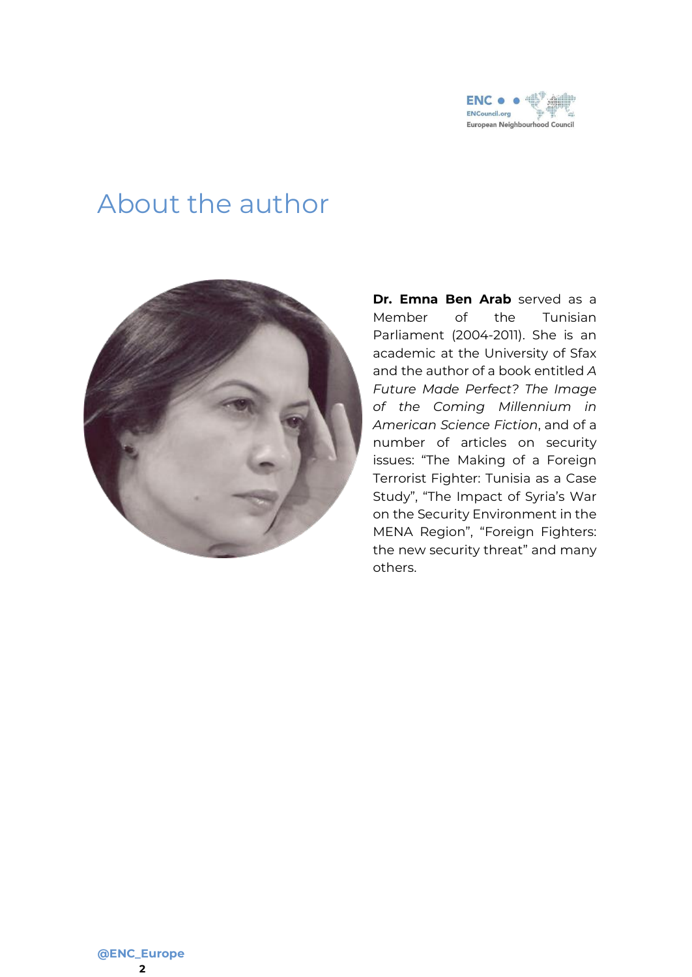

#### About the author



**Dr. Emna Ben Arab** served as a Member of the Tunisian Parliament (2004-2011). She is an academic at the University of Sfax and the author of a book entitled *A Future Made Perfect? The Image of the Coming Millennium in American Science Fiction*, and of a number of articles on security issues: "The Making of a Foreign Terrorist Fighter: Tunisia as a Case Study", "The Impact of Syria's War on the Security Environment in the MENA Region", "Foreign Fighters: the new security threat" and many others.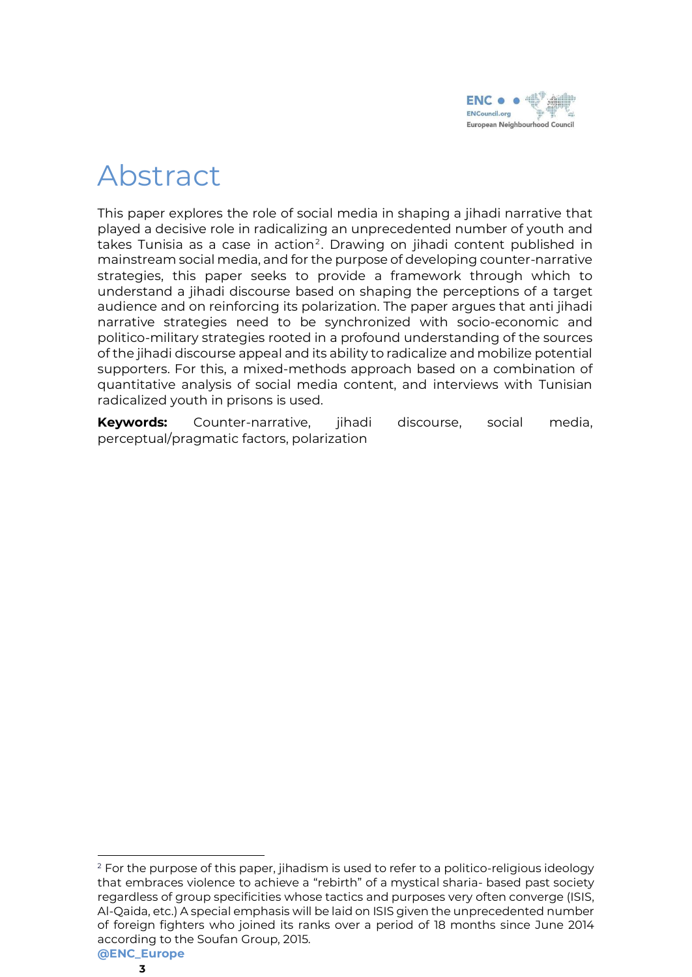

## Abstract

This paper explores the role of social media in shaping a jihadi narrative that played a decisive role in radicalizing an unprecedented number of youth and takes Tunisia as a case in action<sup>2</sup>. Drawing on jihadi content published in mainstream social media, and for the purpose of developing counter-narrative strategies, this paper seeks to provide a framework through which to understand a jihadi discourse based on shaping the perceptions of a target audience and on reinforcing its polarization. The paper argues that anti jihadi narrative strategies need to be synchronized with socio-economic and politico-military strategies rooted in a profound understanding of the sources of the jihadi discourse appeal and its ability to radicalize and mobilize potential supporters. For this, a mixed-methods approach based on a combination of quantitative analysis of social media content, and interviews with Tunisian radicalized youth in prisons is used.

**Keywords:** Counter-narrative, jihadi discourse, social media, perceptual/pragmatic factors, polarization

**<sup>@</sup>ENC\_Europe** <sup>2</sup> For the purpose of this paper, jihadism is used to refer to a politico-religious ideology that embraces violence to achieve a "rebirth" of a mystical sharia- based past society regardless of group specificities whose tactics and purposes very often converge (ISIS, Al-Qaida, etc.) A special emphasis will be laid on ISIS given the unprecedented number of foreign fighters who joined its ranks over a period of 18 months since June 2014 according to the Soufan Group, 2015.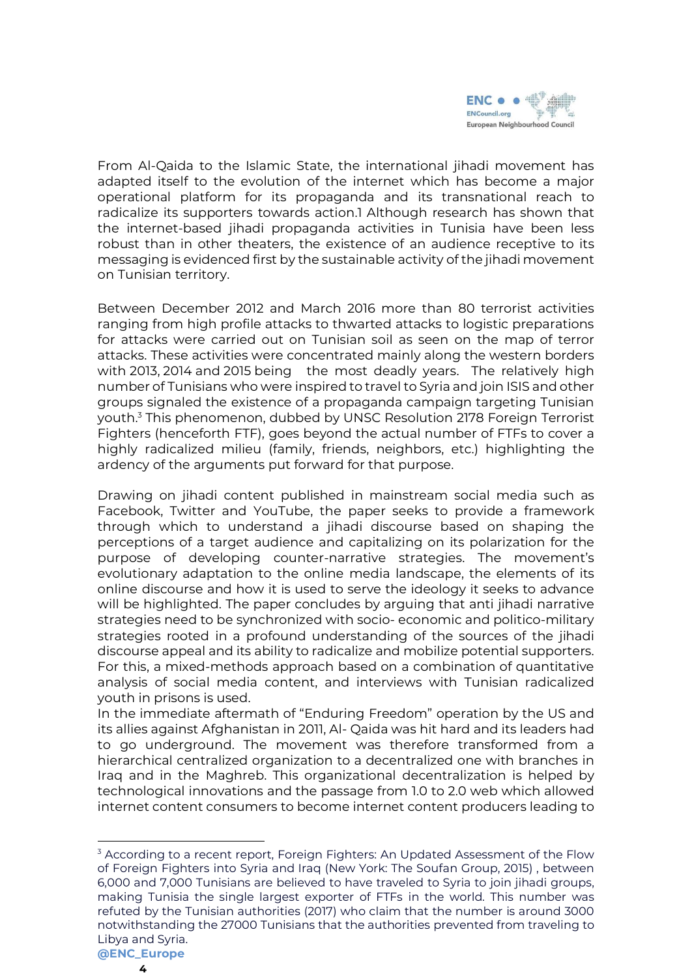

From Al-Qaida to the Islamic State, the international jihadi movement has adapted itself to the evolution of the internet which has become a major operational platform for its propaganda and its transnational reach to radicalize its supporters towards action.1 Although research has shown that the internet-based jihadi propaganda activities in Tunisia have been less robust than in other theaters, the existence of an audience receptive to its messaging is evidenced first by the sustainable activity of the jihadi movement on Tunisian territory.

Between December 2012 and March 2016 more than 80 terrorist activities ranging from high profile attacks to thwarted attacks to logistic preparations for attacks were carried out on Tunisian soil as seen on the map of terror attacks. These activities were concentrated mainly along the western borders with 2013, 2014 and 2015 being the most deadly years. The relatively high number of Tunisians who were inspired to travel to Syria and join ISIS and other groups signaled the existence of a propaganda campaign targeting Tunisian youth.<sup>3</sup> This phenomenon, dubbed by UNSC Resolution 2178 Foreign Terrorist Fighters (henceforth FTF), goes beyond the actual number of FTFs to cover a highly radicalized milieu (family, friends, neighbors, etc.) highlighting the ardency of the arguments put forward for that purpose.

Drawing on jihadi content published in mainstream social media such as Facebook, Twitter and YouTube, the paper seeks to provide a framework through which to understand a jihadi discourse based on shaping the perceptions of a target audience and capitalizing on its polarization for the purpose of developing counter-narrative strategies. The movement's evolutionary adaptation to the online media landscape, the elements of its online discourse and how it is used to serve the ideology it seeks to advance will be highlighted. The paper concludes by arguing that anti jihadi narrative strategies need to be synchronized with socio- economic and politico-military strategies rooted in a profound understanding of the sources of the jihadi discourse appeal and its ability to radicalize and mobilize potential supporters. For this, a mixed-methods approach based on a combination of quantitative analysis of social media content, and interviews with Tunisian radicalized youth in prisons is used.

In the immediate aftermath of "Enduring Freedom" operation by the US and its allies against Afghanistan in 2011, Al- Qaida was hit hard and its leaders had to go underground. The movement was therefore transformed from a hierarchical centralized organization to a decentralized one with branches in Iraq and in the Maghreb. This organizational decentralization is helped by technological innovations and the passage from 1.0 to 2.0 web which allowed internet content consumers to become internet content producers leading to

<sup>&</sup>lt;sup>3</sup> According to a recent report, Foreign Fighters: An Updated Assessment of the Flow of Foreign Fighters into Syria and Iraq (New York: The Soufan Group, 2015) , between 6,000 and 7,000 Tunisians are believed to have traveled to Syria to join jihadi groups, making Tunisia the single largest exporter of FTFs in the world. This number was refuted by the Tunisian authorities (2017) who claim that the number is around 3000 notwithstanding the 27000 Tunisians that the authorities prevented from traveling to Libya and Syria.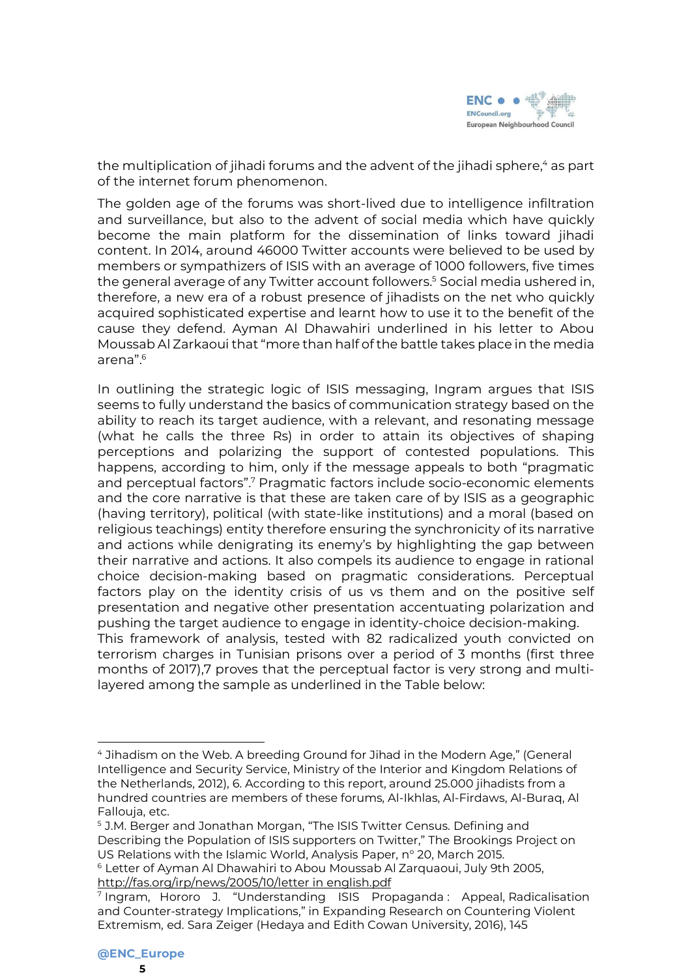

the multiplication of jihadi forums and the advent of the jihadi sphere,<sup>4</sup> as part of the internet forum phenomenon.

The golden age of the forums was short-lived due to intelligence infiltration and surveillance, but also to the advent of social media which have quickly become the main platform for the dissemination of links toward jihadi content. In 2014, around 46000 Twitter accounts were believed to be used by members or sympathizers of ISIS with an average of 1000 followers, five times the general average of any Twitter account followers.<sup>5</sup> Social media ushered in, therefore, a new era of a robust presence of jihadists on the net who quickly acquired sophisticated expertise and learnt how to use it to the benefit of the cause they defend. Ayman Al Dhawahiri underlined in his letter to Abou Moussab Al Zarkaoui that "more than half of the battle takes place in the media arena".<sup>6</sup>

In outlining the strategic logic of ISIS messaging, Ingram argues that ISIS seems to fully understand the basics of communication strategy based on the ability to reach its target audience, with a relevant, and resonating message (what he calls the three Rs) in order to attain its objectives of shaping perceptions and polarizing the support of contested populations. This happens, according to him, only if the message appeals to both "pragmatic and perceptual factors".<sup>7</sup> Pragmatic factors include socio-economic elements and the core narrative is that these are taken care of by ISIS as a geographic (having territory), political (with state-like institutions) and a moral (based on religious teachings) entity therefore ensuring the synchronicity of its narrative and actions while denigrating its enemy's by highlighting the gap between their narrative and actions. It also compels its audience to engage in rational choice decision-making based on pragmatic considerations. Perceptual factors play on the identity crisis of us vs them and on the positive self presentation and negative other presentation accentuating polarization and pushing the target audience to engage in identity-choice decision-making. This framework of analysis, tested with 82 radicalized youth convicted on terrorism charges in Tunisian prisons over a period of 3 months (first three months of 2017),7 proves that the perceptual factor is very strong and multilayered among the sample as underlined in the Table below:

<sup>4</sup> Jihadism on the Web. A breeding Ground for Jihad in the Modern Age," (General Intelligence and Security Service, Ministry of the Interior and Kingdom Relations of the Netherlands, 2012), 6. According to this report, around 25.000 jihadists from a hundred countries are members of these forums, Al-Ikhlas, Al-Firdaws, Al-Buraq, Al Fallouja, etc.

<sup>5</sup> J.M. Berger and Jonathan Morgan, "The ISIS Twitter Census. Defining and Describing the Population of ISIS supporters on Twitter," The Brookings Project on US Relations with the Islamic World, Analysis Paper, n° 20, March 2015.

<sup>6</sup> Letter of Ayman Al Dhawahiri to Abou Moussab Al Zarquaoui, July 9th 2005, [http://fas.org/irp/news/2005/10/letter](http://fas.org/irp/news/2005/10/letterinenglish.pdf) in english.pdf

<sup>7</sup> Ingram, Hororo J. "Understanding ISIS Propaganda : Appeal, Radicalisation and Counter-strategy Implications," in Expanding Research on Countering Violent Extremism, ed. Sara Zeiger (Hedaya and Edith Cowan University, 2016), 145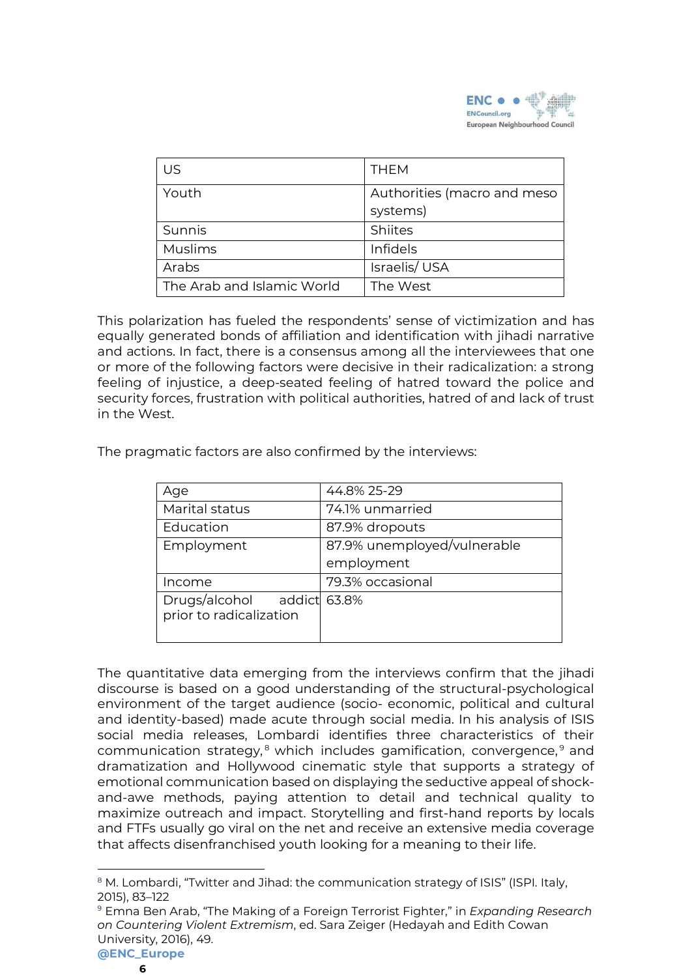

| US                         | <b>THEM</b>                 |
|----------------------------|-----------------------------|
| Youth                      | Authorities (macro and meso |
|                            | systems)                    |
| Sunnis                     | Shiites                     |
| <b>Muslims</b>             | <b>Infidels</b>             |
| Arabs                      | Israelis/USA                |
| The Arab and Islamic World | The West                    |

This polarization has fueled the respondents' sense of victimization and has equally generated bonds of affiliation and identification with jihadi narrative and actions. In fact, there is a consensus among all the interviewees that one or more of the following factors were decisive in their radicalization: a strong feeling of injustice, a deep-seated feeling of hatred toward the police and security forces, frustration with political authorities, hatred of and lack of trust in the West.

| Age                                                   | 44.8% 25-29                 |
|-------------------------------------------------------|-----------------------------|
| Marital status                                        | 74.1% unmarried             |
| Education                                             | 87.9% dropouts              |
| Employment                                            | 87.9% unemployed/vulnerable |
|                                                       | employment                  |
| Income                                                | 79.3% occasional            |
| Drugs/alcohol addict 63.8%<br>prior to radicalization |                             |

The pragmatic factors are also confirmed by the interviews:

The quantitative data emerging from the interviews confirm that the jihadi discourse is based on a good understanding of the structural-psychological environment of the target audience (socio- economic, political and cultural and identity-based) made acute through social media. In his analysis of ISIS social media releases, Lombardi identifies three characteristics of their communication strategy,<sup>8</sup> which includes gamification, convergence,<sup>9</sup> and dramatization and Hollywood cinematic style that supports a strategy of emotional communication based on displaying the seductive appeal of shockand-awe methods, paying attention to detail and technical quality to maximize outreach and impact. Storytelling and first-hand reports by locals and FTFs usually go viral on the net and receive an extensive media coverage that affects disenfranchised youth looking for a meaning to their life.

<sup>&</sup>lt;sup>8</sup> M. Lombardi, "Twitter and Jihad: the communication strategy of ISIS" (ISPI. Italy, 2015), 83–122

**<sup>@</sup>ENC\_Europe** <sup>9</sup> Emna Ben Arab, "The Making of a Foreign Terrorist Fighter," in *Expanding Research on Countering Violent Extremism*, ed. Sara Zeiger (Hedayah and Edith Cowan University, 2016), 49.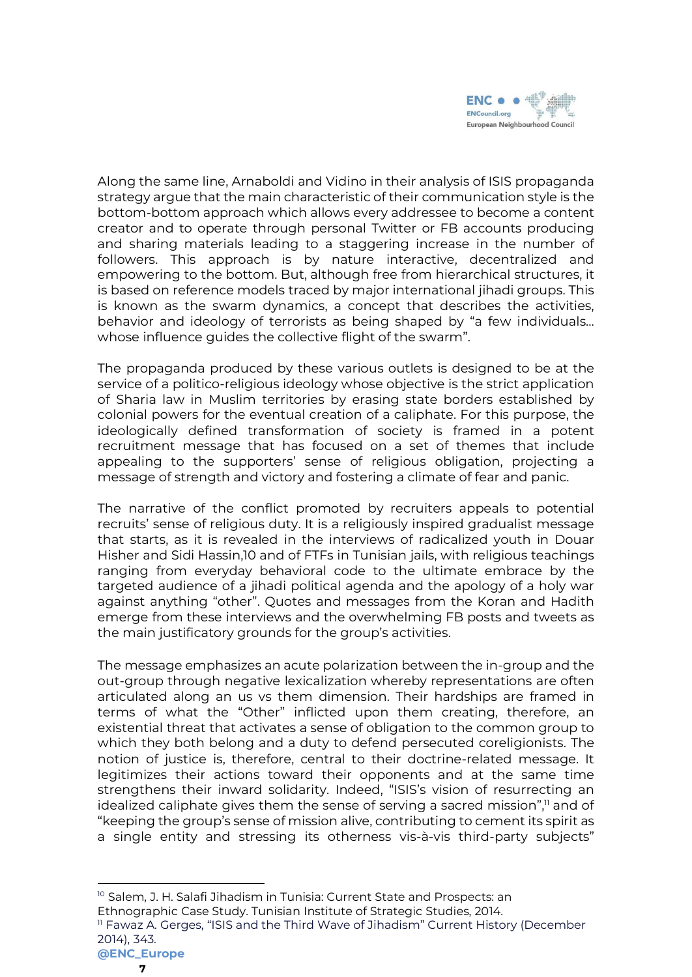

Along the same line, Arnaboldi and Vidino in their analysis of ISIS propaganda strategy argue that the main characteristic of their communication style is the bottom-bottom approach which allows every addressee to become a content creator and to operate through personal Twitter or FB accounts producing and sharing materials leading to a staggering increase in the number of followers. This approach is by nature interactive, decentralized and empowering to the bottom. But, although free from hierarchical structures, it is based on reference models traced by major international jihadi groups. This is known as the swarm dynamics, a concept that describes the activities, behavior and ideology of terrorists as being shaped by "a few individuals… whose influence guides the collective flight of the swarm".

The propaganda produced by these various outlets is designed to be at the service of a politico-religious ideology whose objective is the strict application of Sharia law in Muslim territories by erasing state borders established by colonial powers for the eventual creation of a caliphate. For this purpose, the ideologically defined transformation of society is framed in a potent recruitment message that has focused on a set of themes that include appealing to the supporters' sense of religious obligation, projecting a message of strength and victory and fostering a climate of fear and panic.

The narrative of the conflict promoted by recruiters appeals to potential recruits' sense of religious duty. It is a religiously inspired gradualist message that starts, as it is revealed in the interviews of radicalized youth in Douar Hisher and Sidi Hassin,10 and of FTFs in Tunisian jails, with religious teachings ranging from everyday behavioral code to the ultimate embrace by the targeted audience of a jihadi political agenda and the apology of a holy war against anything "other". Quotes and messages from the Koran and Hadith emerge from these interviews and the overwhelming FB posts and tweets as the main justificatory grounds for the group's activities.

The message emphasizes an acute polarization between the in-group and the out-group through negative lexicalization whereby representations are often articulated along an us vs them dimension. Their hardships are framed in terms of what the "Other" inflicted upon them creating, therefore, an existential threat that activates a sense of obligation to the common group to which they both belong and a duty to defend persecuted coreligionists. The notion of justice is, therefore, central to their doctrine-related message. It legitimizes their actions toward their opponents and at the same time strengthens their inward solidarity. Indeed, "ISIS's vision of resurrecting an idealized caliphate gives them the sense of serving a sacred mission",<sup>11</sup> and of "keeping the group's sense of mission alive, contributing to cement its spirit as a single entity and stressing its otherness vis-à-vis third-party subjects"

<sup>10</sup> Salem, J. H. Salafi Jihadism in Tunisia: Current State and Prospects: an Ethnographic Case Study. Tunisian Institute of Strategic Studies, 2014. <sup>11</sup> Fawaz A. Gerges, "ISIS and the Third Wave of Jihadism" Current History (December 2014), 343.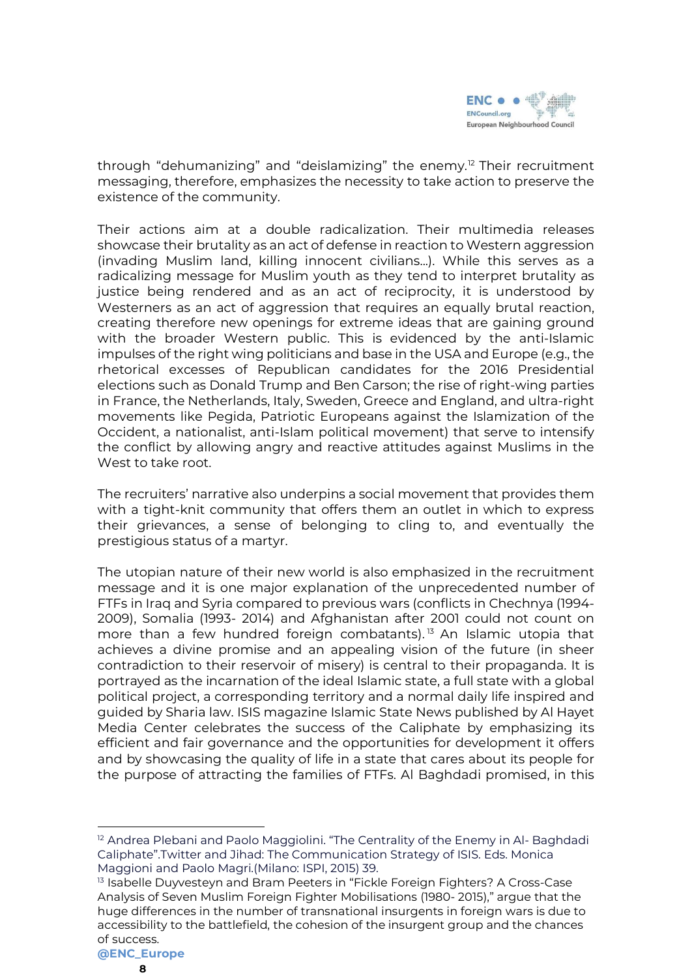

through "dehumanizing" and "deislamizing" the enemy.<sup>12</sup> Their recruitment messaging, therefore, emphasizes the necessity to take action to preserve the existence of the community.

Their actions aim at a double radicalization. Their multimedia releases showcase their brutality as an act of defense in reaction to Western aggression (invading Muslim land, killing innocent civilians...). While this serves as a radicalizing message for Muslim youth as they tend to interpret brutality as justice being rendered and as an act of reciprocity, it is understood by Westerners as an act of aggression that requires an equally brutal reaction, creating therefore new openings for extreme ideas that are gaining ground with the broader Western public. This is evidenced by the anti-Islamic impulses of the right wing politicians and base in the USA and Europe (e.g., the rhetorical excesses of Republican candidates for the 2016 Presidential elections such as Donald Trump and Ben Carson; the rise of right-wing parties in France, the Netherlands, Italy, Sweden, Greece and England, and ultra-right movements like Pegida, Patriotic Europeans against the Islamization of the Occident, a nationalist, anti-Islam political movement) that serve to intensify the conflict by allowing angry and reactive attitudes against Muslims in the West to take root.

The recruiters' narrative also underpins a social movement that provides them with a tight-knit community that offers them an outlet in which to express their grievances, a sense of belonging to cling to, and eventually the prestigious status of a martyr.

The utopian nature of their new world is also emphasized in the recruitment message and it is one major explanation of the unprecedented number of FTFs in Iraq and Syria compared to previous wars (conflicts in Chechnya (1994- 2009), Somalia (1993- 2014) and Afghanistan after 2001 could not count on more than a few hundred foreign combatants).<sup>13</sup> An Islamic utopia that achieves a divine promise and an appealing vision of the future (in sheer contradiction to their reservoir of misery) is central to their propaganda. It is portrayed as the incarnation of the ideal Islamic state, a full state with a global political project, a corresponding territory and a normal daily life inspired and guided by Sharia law. ISIS magazine Islamic State News published by Al Hayet Media Center celebrates the success of the Caliphate by emphasizing its efficient and fair governance and the opportunities for development it offers and by showcasing the quality of life in a state that cares about its people for the purpose of attracting the families of FTFs. Al Baghdadi promised, in this

 $12$  Andrea Plebani and Paolo Maggiolini. "The Centrality of the Enemy in Al-Baghdadi Caliphate".Twitter and Jihad: The Communication Strategy of ISIS. Eds. Monica Maggioni and Paolo Magri.(Milano: ISPI, 2015) 39.

<sup>&</sup>lt;sup>13</sup> Isabelle Duyvesteyn and Bram Peeters in "Fickle Foreign Fighters? A Cross-Case Analysis of Seven Muslim Foreign Fighter Mobilisations (1980- 2015)," argue that the huge differences in the number of transnational insurgents in foreign wars is due to accessibility to the battlefield, the cohesion of the insurgent group and the chances of success.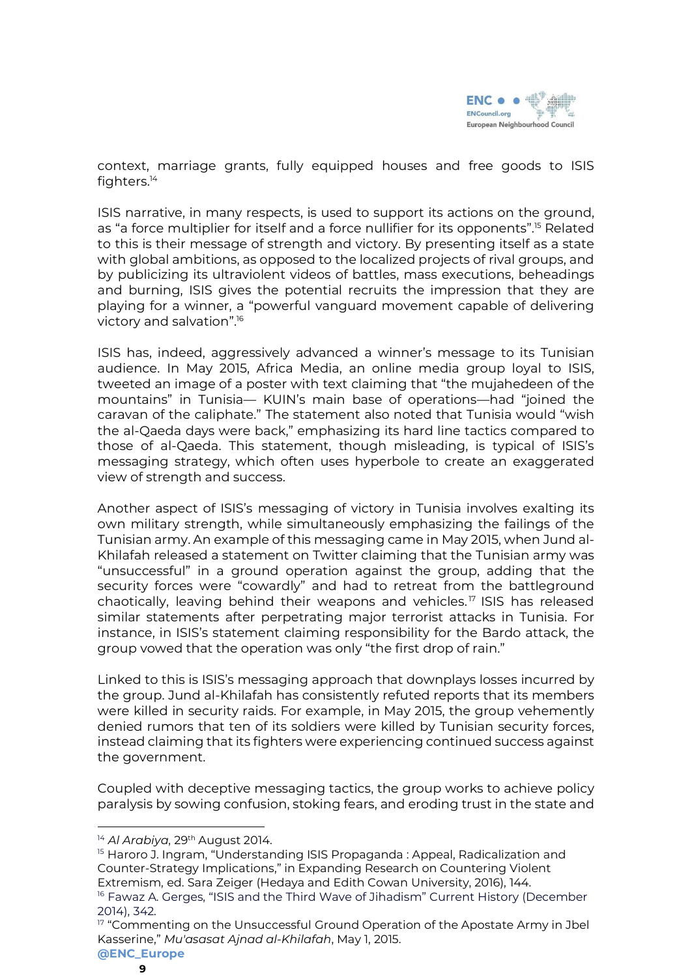

context, marriage grants, fully equipped houses and free goods to ISIS fighters.<sup>14</sup>

ISIS narrative, in many respects, is used to support its actions on the ground, as "a force multiplier for itself and a force nullifier for its opponents".<sup>15</sup> Related to this is their message of strength and victory. By presenting itself as a state with global ambitions, as opposed to the localized projects of rival groups, and by publicizing its ultraviolent videos of battles, mass executions, beheadings and burning, ISIS gives the potential recruits the impression that they are playing for a winner, a "powerful vanguard movement capable of delivering victory and salvation".<sup>16</sup>

ISIS has, indeed, aggressively advanced a winner's message to its Tunisian audience. In May 2015, Africa Media, an online media group loyal to ISIS, tweeted an image of a poster with text claiming that "the mujahedeen of the mountains" in Tunisia— KUIN's main base of operations—had "joined the caravan of the caliphate." The statement also noted that Tunisia would "wish the al-Qaeda days were back," emphasizing its hard line tactics compared to those of al-Qaeda. This statement, though misleading, is typical of ISIS's messaging strategy, which often uses hyperbole to create an exaggerated view of strength and success.

Another aspect of ISIS's messaging of victory in Tunisia involves exalting its own military strength, while simultaneously emphasizing the failings of the Tunisian army. An example of this messaging came in May 2015, when Jund al-Khilafah released a statement on Twitter claiming that the Tunisian army was "unsuccessful" in a ground operation against the group, adding that the security forces were "cowardly" and had to retreat from the battleground chaotically, leaving behind their weapons and vehicles. <sup>17</sup> ISIS has released similar statements after perpetrating major terrorist attacks in Tunisia. For instance, in ISIS's statement claiming responsibility for the Bardo attack, the group vowed that the operation was only "the first drop of rain."

Linked to this is ISIS's messaging approach that downplays losses incurred by the group. Jund al-Khilafah has consistently refuted reports that its members were killed in security raids. For example, in May 2015, the group vehemently denied rumors that ten of its soldiers were killed by Tunisian security forces, instead claiming that its fighters were experiencing continued success against the government.

Coupled with deceptive messaging tactics, the group works to achieve policy paralysis by sowing confusion, stoking fears, and eroding trust in the state and

<sup>14</sup> *Al Arabiya*, 29th August 2014.

<sup>&</sup>lt;sup>15</sup> Haroro J. Ingram, "Understanding ISIS Propaganda : Appeal, Radicalization and Counter-Strategy Implications," in Expanding Research on Countering Violent Extremism, ed. Sara Zeiger (Hedaya and Edith Cowan University, 2016), 144.

<sup>&</sup>lt;sup>16</sup> Fawaz A. Gerges, "ISIS and the Third Wave of Jihadism" Current History (December 2014), 342.

 $17$  "Commenting on the Unsuccessful Ground Operation of the Apostate Army in Jbel Kasserine," *Mu'asasat Ajnad al-Khilafah*, May 1, 2015.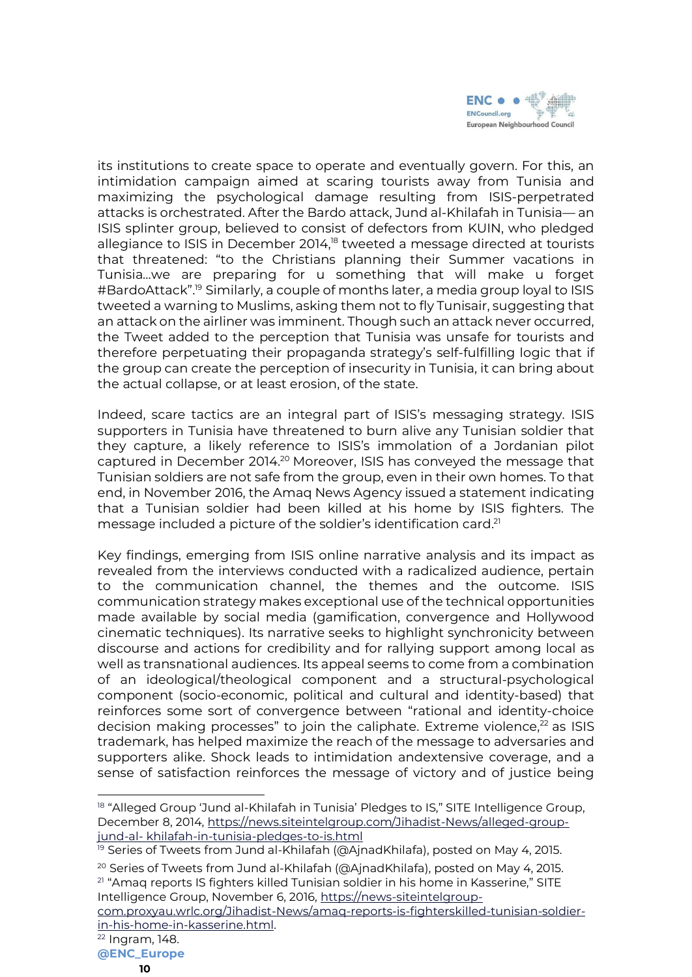

its institutions to create space to operate and eventually govern. For this, an intimidation campaign aimed at scaring tourists away from Tunisia and maximizing the psychological damage resulting from ISIS-perpetrated attacks is orchestrated. After the Bardo attack, Jund al-Khilafah in Tunisia— an ISIS splinter group, believed to consist of defectors from KUIN, who pledged allegiance to ISIS in December 2014,<sup>18</sup> tweeted a message directed at tourists that threatened: "to the Christians planning their Summer vacations in Tunisia…we are preparing for u something that will make u forget #BardoAttack".<sup>19</sup> Similarly, a couple of months later, a media group loyal to ISIS tweeted a warning to Muslims, asking them not to fly Tunisair, suggesting that an attack on the airliner was imminent. Though such an attack never occurred, the Tweet added to the perception that Tunisia was unsafe for tourists and therefore perpetuating their propaganda strategy's self-fulfilling logic that if the group can create the perception of insecurity in Tunisia, it can bring about the actual collapse, or at least erosion, of the state.

Indeed, scare tactics are an integral part of ISIS's messaging strategy. ISIS supporters in Tunisia have threatened to burn alive any Tunisian soldier that they capture, a likely reference to ISIS's immolation of a Jordanian pilot captured in December 2014.<sup>20</sup> Moreover, ISIS has conveyed the message that Tunisian soldiers are not safe from the group, even in their own homes. To that end, in November 2016, the Amaq News Agency issued a statement indicating that a Tunisian soldier had been killed at his home by ISIS fighters. The message included a picture of the soldier's identification card.<sup>21</sup>

Key findings, emerging from ISIS online narrative analysis and its impact as revealed from the interviews conducted with a radicalized audience, pertain to the communication channel, the themes and the outcome. ISIS communication strategy makes exceptional use of the technical opportunities made available by social media (gamification, convergence and Hollywood cinematic techniques). Its narrative seeks to highlight synchronicity between discourse and actions for credibility and for rallying support among local as well as transnational audiences. Its appeal seems to come from a combination of an ideological/theological component and a structural-psychological component (socio-economic, political and cultural and identity-based) that reinforces some sort of convergence between "rational and identity-choice decision making processes" to join the caliphate. Extreme violence, $^{22}$  as ISIS trademark, has helped maximize the reach of the message to adversaries and supporters alike. Shock leads to intimidation andextensive coverage, and a sense of satisfaction reinforces the message of victory and of justice being

<sup>19</sup> Series of Tweets from Jund al-Khilafah (@AjnadKhilafa), posted on May 4, 2015.

- <sup>20</sup> Series of Tweets from Jund al-Khilafah (@AjnadKhilafa), posted on May 4, 2015.  $21$  "Amag reports IS fighters killed Tunisian soldier in his home in Kasserine," SITE Intelligence Group, November 6, 2016, [https://news-siteintelgroup-](https://news-siteintelgroup-com.proxyau.wrlc.org/Jihadist-News/amaq-reports-is-fighterskilled-tunisian-soldier-in-his-home-in-kasserine.html)
- [com.proxyau.wrlc.org/Jihadist-News/amaq-reports-is-fighterskilled-tunisian-soldier](https://news-siteintelgroup-com.proxyau.wrlc.org/Jihadist-News/amaq-reports-is-fighterskilled-tunisian-soldier-in-his-home-in-kasserine.html)[in-his-home-in-kasserine.html.](https://news-siteintelgroup-com.proxyau.wrlc.org/Jihadist-News/amaq-reports-is-fighterskilled-tunisian-soldier-in-his-home-in-kasserine.html)

<sup>&</sup>lt;sup>18</sup> "Alleged Group 'Jund al-Khilafah in Tunisia' Pledges to IS," SITE Intelligence Group, December 8, 2014, [https://news.siteintelgroup.com/Jihadist-News/alleged-group](https://news.siteintelgroup.com/Jihadist-News/alleged-group-jund-al-%20khilafah-in-tunisia-pledges-to-is.html)jund-al- [khilafah-in-tunisia-pledges-to-is.html](https://news.siteintelgroup.com/Jihadist-News/alleged-group-jund-al-%20khilafah-in-tunisia-pledges-to-is.html)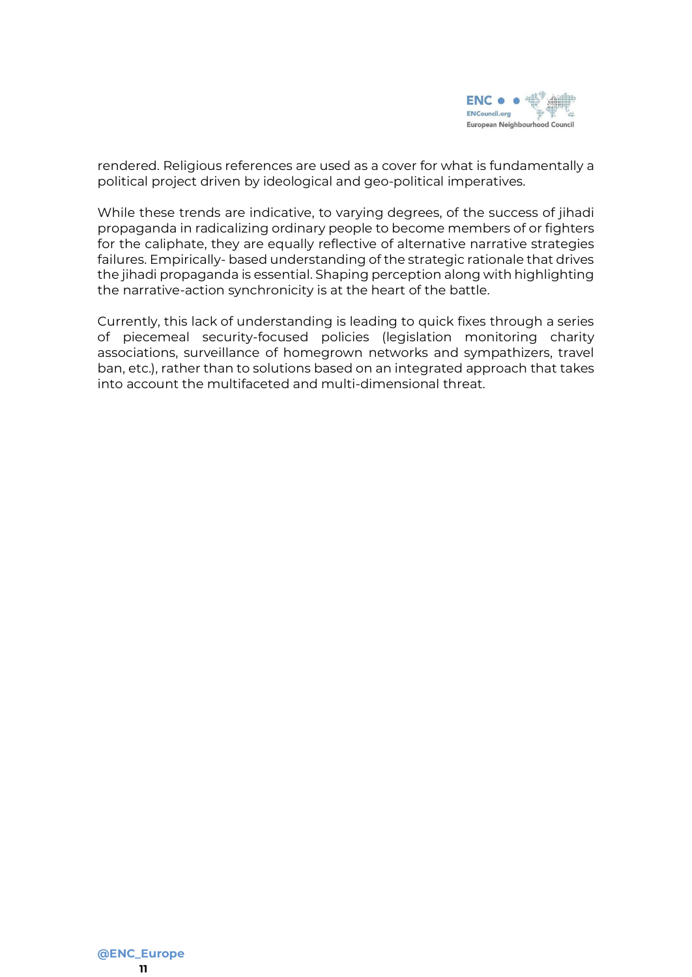

rendered. Religious references are used as a cover for what is fundamentally a political project driven by ideological and geo-political imperatives.

While these trends are indicative, to varying degrees, of the success of jihadi propaganda in radicalizing ordinary people to become members of or fighters for the caliphate, they are equally reflective of alternative narrative strategies failures. Empirically- based understanding of the strategic rationale that drives the jihadi propaganda is essential. Shaping perception along with highlighting the narrative-action synchronicity is at the heart of the battle.

Currently, this lack of understanding is leading to quick fixes through a series of piecemeal security-focused policies (legislation monitoring charity associations, surveillance of homegrown networks and sympathizers, travel ban, etc.), rather than to solutions based on an integrated approach that takes into account the multifaceted and multi-dimensional threat.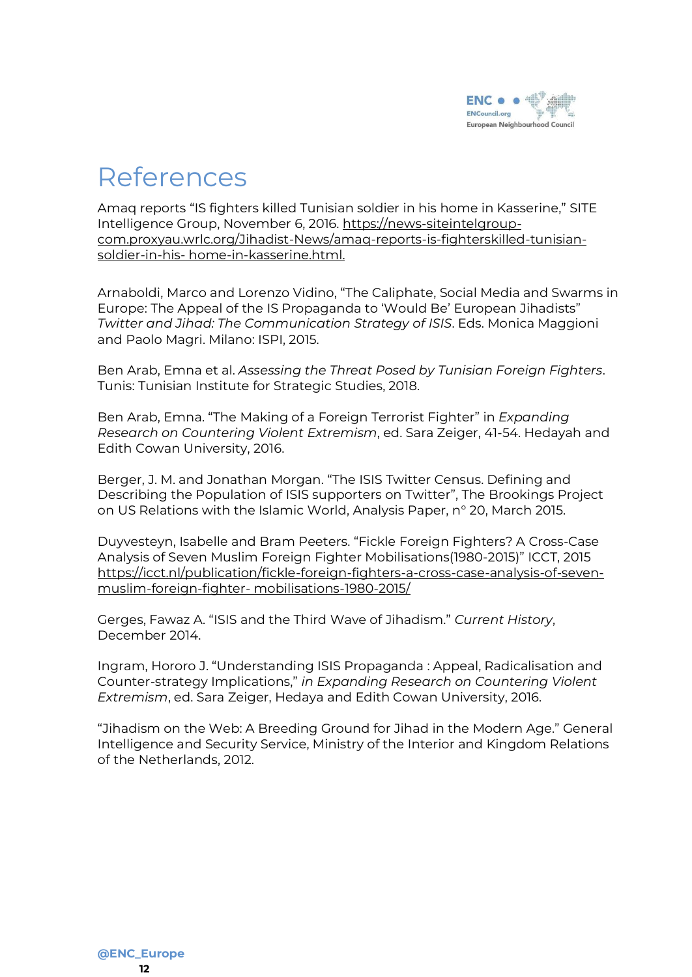

#### References

Amaq reports "IS fighters killed Tunisian soldier in his home in Kasserine," SITE Intelligence Group, November 6, 2016. [https://news-siteintelgroup](https://news-siteintelgroup-com.proxyau.wrlc.org/Jihadist-News/amaq-reports-is-fighterskilled-tunisian-soldier-in-his-%20home-in-kasserine.html.)[com.proxyau.wrlc.org/Jihadist-News/amaq-reports-is-fighterskilled-tunisian](https://news-siteintelgroup-com.proxyau.wrlc.org/Jihadist-News/amaq-reports-is-fighterskilled-tunisian-soldier-in-his-%20home-in-kasserine.html.)soldier-in-his- [home-in-kasserine.html.](https://news-siteintelgroup-com.proxyau.wrlc.org/Jihadist-News/amaq-reports-is-fighterskilled-tunisian-soldier-in-his-%20home-in-kasserine.html.)

Arnaboldi, Marco and Lorenzo Vidino, "The Caliphate, Social Media and Swarms in Europe: The Appeal of the IS Propaganda to 'Would Be' European Jihadists" *Twitter and Jihad: The Communication Strategy of ISIS*. Eds. Monica Maggioni and Paolo Magri. Milano: ISPI, 2015.

Ben Arab, Emna et al. *Assessing the Threat Posed by Tunisian Foreign Fighters*. Tunis: Tunisian Institute for Strategic Studies, 2018.

Ben Arab, Emna. "The Making of a Foreign Terrorist Fighter" in *Expanding Research on Countering Violent Extremism*, ed. Sara Zeiger, 41-54. Hedayah and Edith Cowan University, 2016.

Berger, J. M. and Jonathan Morgan. "The ISIS Twitter Census. Defining and Describing the Population of ISIS supporters on Twitter", The Brookings Project on US Relations with the Islamic World, Analysis Paper, n° 20, March 2015.

Duyvesteyn, Isabelle and Bram Peeters. "Fickle Foreign Fighters? A Cross-Case Analysis of Seven Muslim Foreign Fighter Mobilisations(1980-2015)" ICCT, 2015 [https://icct.nl/publication/fickle-foreign-fighters-a-cross-case-analysis-of-seven](https://icct.nl/publication/fickle-foreign-fighters-a-cross-case-analysis-of-seven-muslim-foreign-fighter-%20mobilisations-1980-2015/)muslim-foreign-fighter- [mobilisations-1980-2015/](https://icct.nl/publication/fickle-foreign-fighters-a-cross-case-analysis-of-seven-muslim-foreign-fighter-%20mobilisations-1980-2015/)

Gerges, Fawaz A. "ISIS and the Third Wave of Jihadism." *Current History*, December 2014.

Ingram, Hororo J. "Understanding ISIS Propaganda : Appeal, Radicalisation and Counter-strategy Implications," *in Expanding Research on Countering Violent Extremism*, ed. Sara Zeiger, Hedaya and Edith Cowan University, 2016.

"Jihadism on the Web: A Breeding Ground for Jihad in the Modern Age." General Intelligence and Security Service, Ministry of the Interior and Kingdom Relations of the Netherlands, 2012.